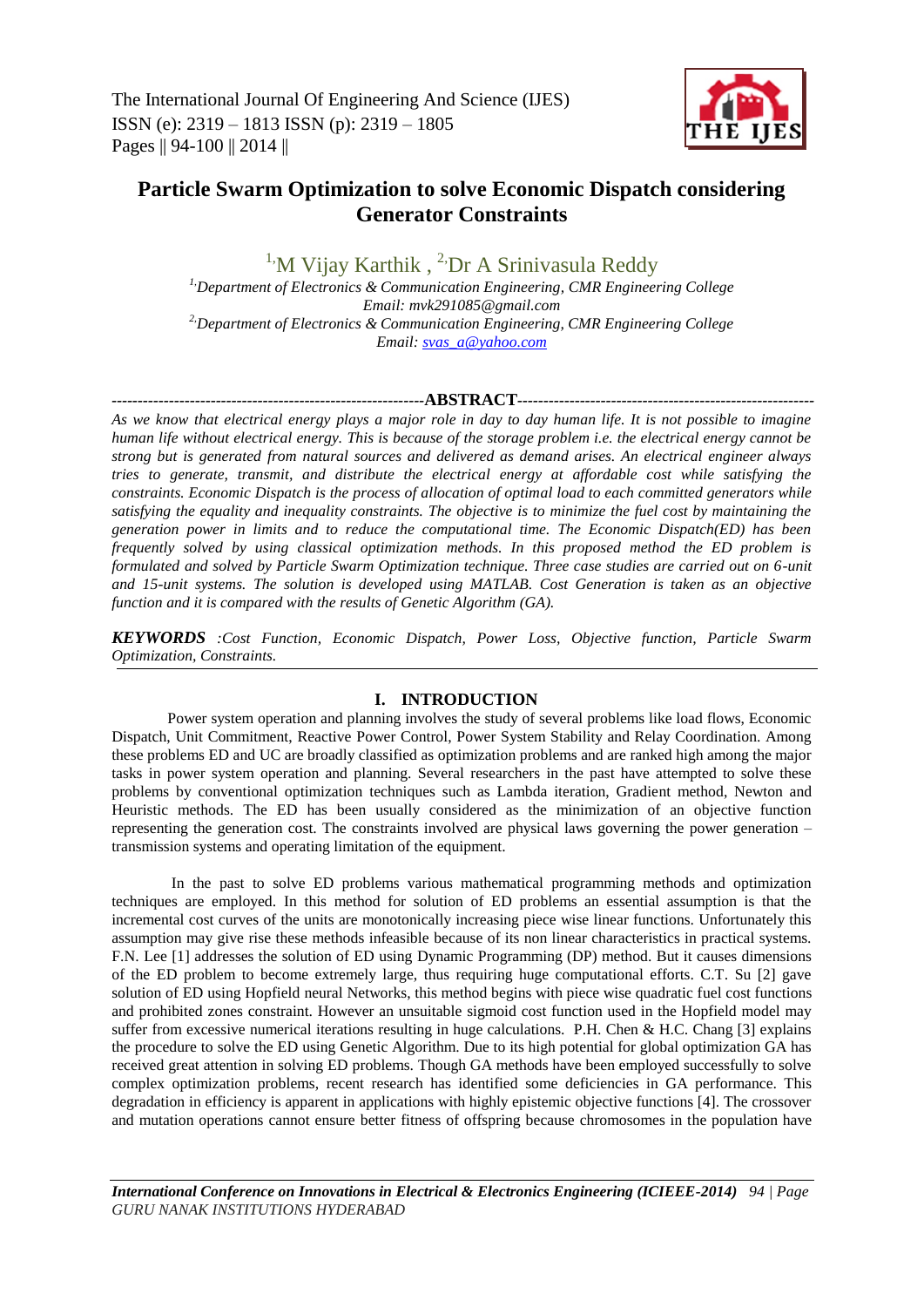The International Journal Of Engineering And Science (IJES) ISSN (e): 2319 – 1813 ISSN (p): 2319 – 1805 Pages || 94-100 || 2014 ||



# **Particle Swarm Optimization to solve Economic Dispatch considering Generator Constraints**

<sup>1</sup>'M Vijay Karthik, <sup>2</sup>'Dr A Srinivasula Reddy *1,Department of Electronics & Communication Engineering, CMR Engineering College Email: mvk291085@gmail.com 2,Department of Electronics & Communication Engineering, CMR Engineering College Email: [svas\\_a@yahoo.com](mailto:svas_a@yahoo.com)*

### *------------------------------------------------------------***ABSTRACT***---------------------------------------------------------*

*As we know that electrical energy plays a major role in day to day human life. It is not possible to imagine human life without electrical energy. This is because of the storage problem i.e. the electrical energy cannot be strong but is generated from natural sources and delivered as demand arises. An electrical engineer always tries to generate, transmit, and distribute the electrical energy at affordable cost while satisfying the constraints. Economic Dispatch is the process of allocation of optimal load to each committed generators while satisfying the equality and inequality constraints. The objective is to minimize the fuel cost by maintaining the generation power in limits and to reduce the computational time. The Economic Dispatch(ED) has been frequently solved by using classical optimization methods. In this proposed method the ED problem is formulated and solved by Particle Swarm Optimization technique. Three case studies are carried out on 6-unit and 15-unit systems. The solution is developed using MATLAB. Cost Generation is taken as an objective function and it is compared with the results of Genetic Algorithm (GA).*

*KEYWORDS :Cost Function, Economic Dispatch, Power Loss, Objective function, Particle Swarm Optimization, Constraints.*

### **I. INTRODUCTION**

Power system operation and planning involves the study of several problems like load flows, Economic Dispatch, Unit Commitment, Reactive Power Control, Power System Stability and Relay Coordination. Among these problems ED and UC are broadly classified as optimization problems and are ranked high among the major tasks in power system operation and planning. Several researchers in the past have attempted to solve these problems by conventional optimization techniques such as Lambda iteration, Gradient method, Newton and Heuristic methods. The ED has been usually considered as the minimization of an objective function representing the generation cost. The constraints involved are physical laws governing the power generation – transmission systems and operating limitation of the equipment.

In the past to solve ED problems various mathematical programming methods and optimization techniques are employed. In this method for solution of ED problems an essential assumption is that the incremental cost curves of the units are monotonically increasing piece wise linear functions. Unfortunately this assumption may give rise these methods infeasible because of its non linear characteristics in practical systems. F.N. Lee [1] addresses the solution of ED using Dynamic Programming (DP) method. But it causes dimensions of the ED problem to become extremely large, thus requiring huge computational efforts. C.T. Su [2] gave solution of ED using Hopfield neural Networks, this method begins with piece wise quadratic fuel cost functions and prohibited zones constraint. However an unsuitable sigmoid cost function used in the Hopfield model may suffer from excessive numerical iterations resulting in huge calculations. P.H. Chen & H.C. Chang [3] explains the procedure to solve the ED using Genetic Algorithm. Due to its high potential for global optimization GA has received great attention in solving ED problems. Though GA methods have been employed successfully to solve complex optimization problems, recent research has identified some deficiencies in GA performance. This degradation in efficiency is apparent in applications with highly epistemic objective functions [4]. The crossover and mutation operations cannot ensure better fitness of offspring because chromosomes in the population have

*International Conference on Innovations in Electrical & Electronics Engineering (ICIEEE-2014) 94 | Page GURU NANAK INSTITUTIONS HYDERABAD*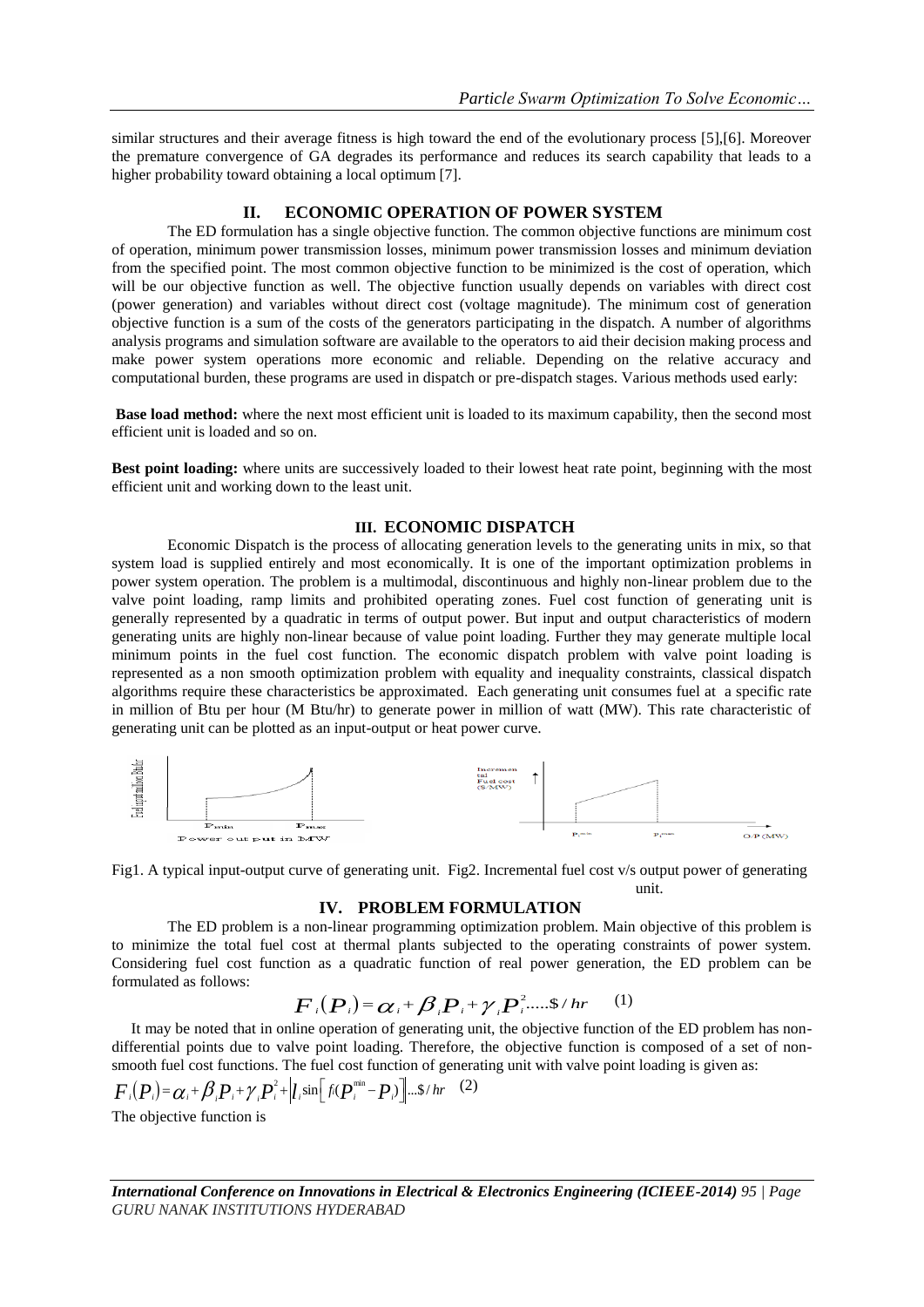similar structures and their average fitness is high toward the end of the evolutionary process [5],[6]. Moreover the premature convergence of GA degrades its performance and reduces its search capability that leads to a higher probability toward obtaining a local optimum [7].

### **II. ECONOMIC OPERATION OF POWER SYSTEM**

The ED formulation has a single objective function. The common objective functions are minimum cost of operation, minimum power transmission losses, minimum power transmission losses and minimum deviation from the specified point. The most common objective function to be minimized is the cost of operation, which will be our objective function as well. The objective function usually depends on variables with direct cost (power generation) and variables without direct cost (voltage magnitude). The minimum cost of generation objective function is a sum of the costs of the generators participating in the dispatch. A number of algorithms analysis programs and simulation software are available to the operators to aid their decision making process and make power system operations more economic and reliable. Depending on the relative accuracy and computational burden, these programs are used in dispatch or pre-dispatch stages. Various methods used early:

**Base load method:** where the next most efficient unit is loaded to its maximum capability, then the second most efficient unit is loaded and so on.

**Best point loading:** where units are successively loaded to their lowest heat rate point, beginning with the most efficient unit and working down to the least unit.

### **III. ECONOMIC DISPATCH**

Economic Dispatch is the process of allocating generation levels to the generating units in mix, so that system load is supplied entirely and most economically. It is one of the important optimization problems in power system operation. The problem is a multimodal, discontinuous and highly non-linear problem due to the valve point loading, ramp limits and prohibited operating zones. Fuel cost function of generating unit is generally represented by a quadratic in terms of output power. But input and output characteristics of modern generating units are highly non-linear because of value point loading. Further they may generate multiple local minimum points in the fuel cost function. The economic dispatch problem with valve point loading is represented as a non smooth optimization problem with equality and inequality constraints, classical dispatch algorithms require these characteristics be approximated. Each generating unit consumes fuel at a specific rate in million of Btu per hour (M Btu/hr) to generate power in million of watt (MW). This rate characteristic of generating unit can be plotted as an input-output or heat power curve.



Fig1. A typical input-output curve of generating unit. Fig2. Incremental fuel cost v/s output power of generating unit. The contract of the contract of the contract of the contract of the contract of the contract of the contract of the contract of the contract of the contract of the contract of the contract of the contract of the cont

### **IV. PROBLEM FORMULATION**

The ED problem is a non-linear programming optimization problem. Main objective of this problem is to minimize the total fuel cost at thermal plants subjected to the operating constraints of power system. Considering fuel cost function as a quadratic function of real power generation, the ED problem can be formulated as follows:<br>  $F_i(P_i) = \alpha_i + \beta_i P_i + \gamma_i P_i^2 \dots \$ / hr$  (1) formulated as follows: .....\$ / *i i i i <sup>i</sup>*

$$
\boldsymbol{F}_i(\boldsymbol{P}_i) = \boldsymbol{\alpha}_i + \boldsymbol{\beta}_i \boldsymbol{P}_i + \boldsymbol{\gamma}_i \boldsymbol{P}_i^2 \cdot \cdots \cdot \boldsymbol{\beta}/hr \qquad (1)
$$

 It may be noted that in online operation of generating unit, the objective function of the ED problem has nondifferential points due to valve point loading. Therefore, the objective function is composed of a set of nonsmooth fuel cost functions. The fuel cost function of generating unit with valve point loading is given as: It may be noted that in online operation of generating<br>differential points due to valve point loading. Therefore<br>smooth fuel cost functions. The fuel cost function of ger<br> $F_i(P_i) = \alpha_i + \beta_i P_i + \gamma_i P_i^2 + |l_i \sin[f_i(P_i^{\min} - P_i)]... \$ 

# (2)

The objective function is

*International Conference on Innovations in Electrical & Electronics Engineering (ICIEEE-2014) 95 | Page GURU NANAK INSTITUTIONS HYDERABAD*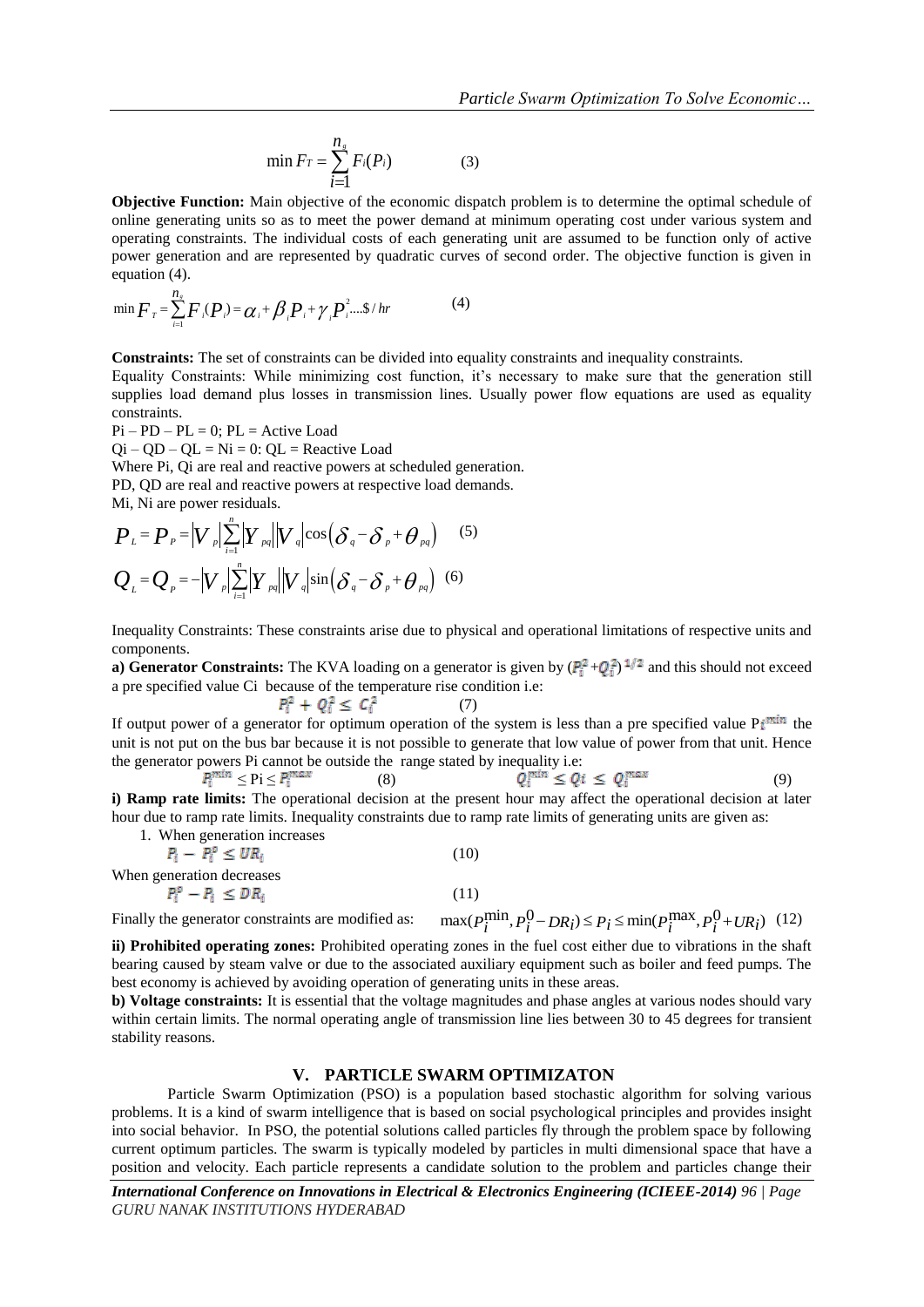$$
\min F_T = \sum_{i=1}^{n_s} F_i(P_i) \tag{3}
$$

**Objective Function:** Main objective of the economic dispatch problem is to determine the optimal schedule of online generating units so as to meet the power demand at minimum operating cost under various system and operating constraints. The individual costs of each generating unit are assumed to be function only of active power generation and are represented by quadratic curves of second order. The objective function is given in equation (4).

equation (4).  
\n
$$
\min \boldsymbol{F}_r = \sum_{i=1}^{n_s} \boldsymbol{F}_i(\boldsymbol{P}_i) = \boldsymbol{\alpha}_i + \boldsymbol{\beta}_i \boldsymbol{P}_i + \boldsymbol{\gamma}_i \boldsymbol{P}_i^2 \dots \boldsymbol{\beta}_i / hr
$$
\n(4)

**Constraints:** The set of constraints can be divided into equality constraints and inequality constraints.

Equality Constraints: While minimizing cost function, it's necessary to make sure that the generation still supplies load demand plus losses in transmission lines. Usually power flow equations are used as equality constraints.

 $Pi - PD - PL = 0$ ;  $PL = Active Load$ 

 $Qi - QD - QL = Ni = 0$ :  $QL =$  Reactive Load

Where Pi, Qi are real and reactive powers at scheduled generation.

PD, QD are real and reactive powers at respective load demands.  
\nMi, Ni are power residuals.  
\n
$$
P_L = P_P = |V_P| \sum_{i=1}^n |Y_{pq}| |V_q| \cos(\delta_q - \delta_p + \theta_{pq})
$$
\n(5)  
\n
$$
Q_L = Q_P = -|V_P| \sum_{i=1}^n |Y_{pq}| |V_q| \sin(\delta_q - \delta_p + \theta_{pq})
$$
\n(6)

Inequality Constraints: These constraints arise due to physical and operational limitations of respective units and components.

**a) Generator Constraints:** The KVA loading on a generator is given by  $(P_i^2 + Q_i^2)^{1/2}$  and this should not exceed a pre specified value Ci because of the temperature rise condition i.e:<br> $P_i^2 + Q_i^2 \le C_i^2$  (7)

$$
Q_i^2 \le C_i^2 \tag{7}
$$

If output power of a generator for optimum operation of the system is less than a pre specified value  $Pi^{min}$  the unit is not put on the bus bar because it is not possible to generate that low value of power from that unit. Hence the generator powers Pi cannot be outside the range stated by inequality i.e:

 $\leq$  Pi  $\leq$   $P_i^{max}$  (8)  $Q_i^{min} \leq Q_i \leq Q_i^{max}$  (9) **i) Ramp rate limits:** The operational decision at the present hour may affect the operational decision at later hour due to ramp rate limits. Inequality constraints due to ramp rate limits of generating units are given as:

1. When generation increases

$$
P_i - P_i^o \leq UR_i
$$
 (10)  
When generation decreases  

$$
P_i^o - P_i \leq DR_i
$$
 (11)

When generalization decreases

\n
$$
P_i^0 - P_i \leq DR_i
$$
\n(11)

\nFinally the generator constraints are modified as:

\n
$$
\max(P_i^{\min}, P_i^0 - DR_i) \leq P_i \leq \min(P_i^{\max}, P_i^0 + UR_i)
$$
\n(12)

\n**ii) Probibited operating zones:** 
$$
P_i^{\min} - P_i^{\min} \leq P_i \leq \min(P_i^{\max}, P_i^0 + UR_i)
$$
\n(13)

bearing caused by steam valve or due to the associated auxiliary equipment such as boiler and feed pumps. The best economy is achieved by avoiding operation of generating units in these areas.

**b) Voltage constraints:** It is essential that the voltage magnitudes and phase angles at various nodes should vary within certain limits. The normal operating angle of transmission line lies between 30 to 45 degrees for transient stability reasons.

### **V. PARTICLE SWARM OPTIMIZATON**

Particle Swarm Optimization (PSO) is a population based stochastic algorithm for solving various problems. It is a kind of swarm intelligence that is based on social psychological principles and provides insight into social behavior. In PSO, the potential solutions called particles fly through the problem space by following current optimum particles. The swarm is typically modeled by particles in multi dimensional space that have a position and velocity. Each particle represents a candidate solution to the problem and particles change their

*International Conference on Innovations in Electrical & Electronics Engineering (ICIEEE-2014) 96 | Page GURU NANAK INSTITUTIONS HYDERABAD*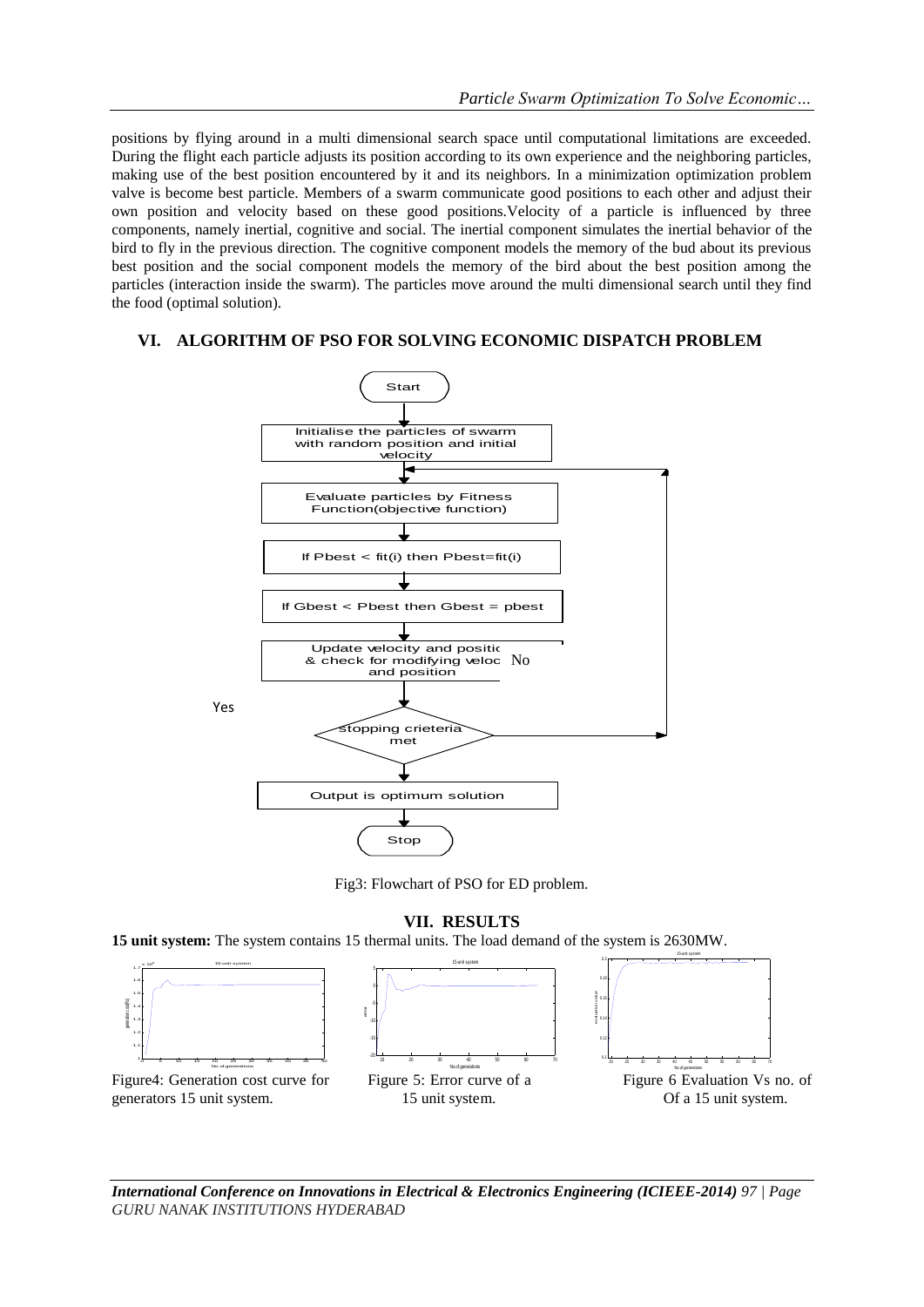positions by flying around in a multi dimensional search space until computational limitations are exceeded. During the flight each particle adjusts its position according to its own experience and the neighboring particles, making use of the best position encountered by it and its neighbors. In a minimization optimization problem valve is become best particle. Members of a swarm communicate good positions to each other and adjust their own position and velocity based on these good positions.Velocity of a particle is influenced by three components, namely inertial, cognitive and social. The inertial component simulates the inertial behavior of the bird to fly in the previous direction. The cognitive component models the memory of the bud about its previous best position and the social component models the memory of the bird about the best position among the particles (interaction inside the swarm). The particles move around the multi dimensional search until they find the food (optimal solution).

### **VI. ALGORITHM OF PSO FOR SOLVING ECONOMIC DISPATCH PROBLEM**



Fig3: Flowchart of PSO for ED problem.

**VII. RESULTS**

**15 unit system:** The system contains 15 thermal units. The load demand of the system is 2630MW.



*International Conference on Innovations in Electrical & Electronics Engineering (ICIEEE-2014) 97 | Page GURU NANAK INSTITUTIONS HYDERABAD*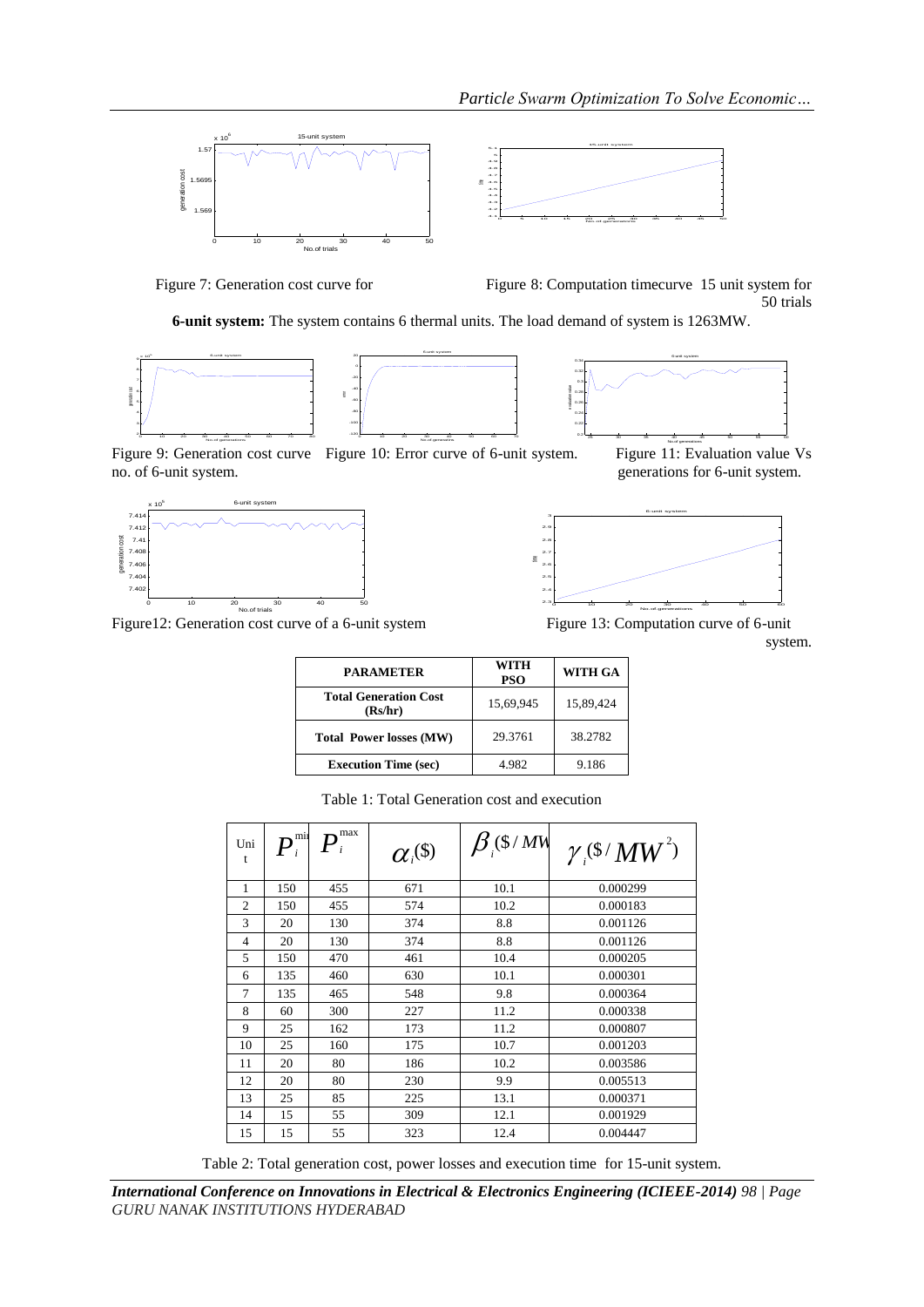





Figure 7: Generation cost curve for Figure 8: Computation timecurve 15 unit system for 50 trials

**6-unit system:** The system contains 6 thermal units. The load demand of system is 1263MW.

6-unit system







No.of generations Figure 9: Generation cost curve Figure 10: Error curve of 6-unit system. Figure 11: Evaluation value Vs no. of 6-unit system. generations for 6-unit system.



Figure12: Generation cost curve of a 6-unit system Figure 13: Computation curve of 6-unit



system.

| <b>PARAMETER</b>                        | WITH<br><b>PSO</b> | <b>WITH GA</b> |  |
|-----------------------------------------|--------------------|----------------|--|
| <b>Total Generation Cost</b><br>(Rs/hr) | 15,69,945          | 15,89,424      |  |
| <b>Total Power losses (MW)</b>          | 29.3761            | 38.2782        |  |
| <b>Execution Time (sec)</b>             | 4.982              | 9.186          |  |

| Uni<br>t       | $\bm{P}_i^\text{min}$ | max | $\alpha_i^{(\$)}$ | $\beta$ (\$ / MW | $\gamma$ (\$ $\gamma$ MW <sup>2</sup> ) |
|----------------|-----------------------|-----|-------------------|------------------|-----------------------------------------|
| 1              | 150                   | 455 | 671               | 10.1             | 0.000299                                |
| $\mathfrak{2}$ | 150                   | 455 | 574               | 10.2             | 0.000183                                |
| 3              | 20                    | 130 | 374               | 8.8              | 0.001126                                |
| $\overline{4}$ | 20                    | 130 | 374               | 8.8              | 0.001126                                |
| 5              | 150                   | 470 | 461               | 10.4             | 0.000205                                |
| 6              | 135                   | 460 | 630               | 10.1             | 0.000301                                |
| 7              | 135                   | 465 | 548               | 9.8              | 0.000364                                |
| 8              | 60                    | 300 | 227               | 11.2             | 0.000338                                |
| 9              | 25                    | 162 | 173               | 11.2             | 0.000807                                |
| 10             | 25                    | 160 | 175               | 10.7             | 0.001203                                |
| 11             | 20                    | 80  | 186               | 10.2             | 0.003586                                |
| 12             | 20                    | 80  | 230               | 9.9              | 0.005513                                |
| 13             | 25                    | 85  | 225               | 13.1             | 0.000371                                |
| 14             | 15                    | 55  | 309               | 12.1             | 0.001929                                |
| 15             | 15                    | 55  | 323               | 12.4             | 0.004447                                |

Table 1: Total Generation cost and execution

Table 2: Total generation cost, power losses and execution time for 15-unit system.

*International Conference on Innovations in Electrical & Electronics Engineering (ICIEEE-2014) 98 | Page GURU NANAK INSTITUTIONS HYDERABAD*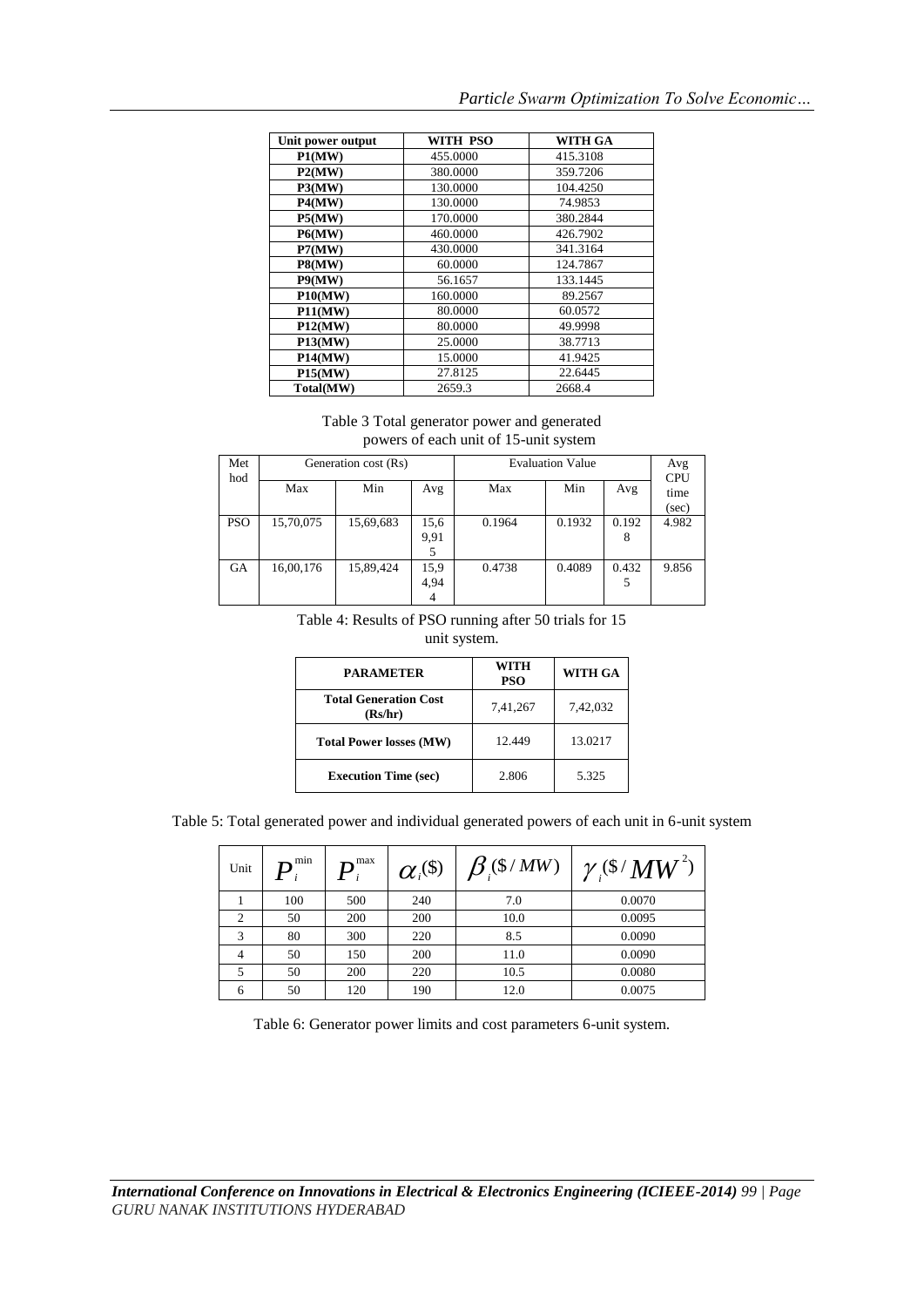| Unit power output | WITH PSO | <b>WITH GA</b> |
|-------------------|----------|----------------|
| P1(MW)            | 455,0000 | 415.3108       |
| P2(MW)            | 380,0000 | 359.7206       |
| P3(MW)            | 130.0000 | 104.4250       |
| P4(MW)            | 130,0000 | 74.9853        |
| P5(MW)            | 170,0000 | 380.2844       |
| P6(MW)            | 460.0000 | 426.7902       |
| P7(MW)            | 430.0000 | 341.3164       |
| P8(MW)            | 60.0000  | 124.7867       |
| P9(MW)            | 56.1657  | 133.1445       |
| P10(MW)           | 160,0000 | 89.2567        |
| P11(MW)           | 80.0000  | 60.0572        |
| P12(MW)           | 80.0000  | 49.9998        |
| <b>P13(MW)</b>    | 25.0000  | 38.7713        |
| <b>P14(MW)</b>    | 15.0000  | 41.9425        |
| P15(MW)           | 27.8125  | 22.6445        |
| Total(MW)         | 2659.3   | 2668.4         |

## *Particle Swarm Optimization To Solve Economic…*

Table 3 Total generator power and generated powers of each unit of 15-unit system

| Met<br>hod | Generation cost (Rs) |           |                   | <b>Evaluation Value</b> |        |            | Avg<br><b>CPU</b> |
|------------|----------------------|-----------|-------------------|-------------------------|--------|------------|-------------------|
|            | Max                  | Min       | Avg               | Max                     | Min    | Avg        | time              |
|            |                      |           |                   |                         |        |            | (sec)             |
| <b>PSO</b> | 15,70,075            | 15,69,683 | 15,6<br>9,91<br>5 | 0.1964                  | 0.1932 | 0.192<br>8 | 4.982             |
| <b>GA</b>  | 16,00,176            | 15,89,424 | 15,9<br>4,94<br>4 | 0.4738                  | 0.4089 | 0.432<br>5 | 9.856             |

Table 4: Results of PSO running after 50 trials for 15

unit system.

| <b>PARAMETER</b>                        | WITH<br><b>PSO</b> | <b>WITH GA</b> |  |
|-----------------------------------------|--------------------|----------------|--|
| <b>Total Generation Cost</b><br>(Rs/hr) | 7,41,267           | 7,42,032       |  |
| <b>Total Power losses (MW)</b>          | 12.449             | 13.0217        |  |
| <b>Execution Time (sec)</b>             | 2.806              | 5.325          |  |

Table 5: Total generated power and individual generated powers of each unit in 6-unit system

| Unit | $\boldsymbol{P}_{\scriptscriptstyle{i}}^{\scriptscriptstyle{\text{min}}}$ | $\mathbf{m}$ max | $\alpha_i^{(\$)}$ | $\beta$ (\$ / MW) | $\gamma$ (\$ $/MW^2$ |
|------|---------------------------------------------------------------------------|------------------|-------------------|-------------------|----------------------|
|      | 100                                                                       | 500              | 240               | 7.0               | 0.0070               |
|      | 50                                                                        | 200              | 200               | 10.0              | 0.0095               |
| 3    | 80                                                                        | 300              | 220               | 8.5               | 0.0090               |
| 4    | 50                                                                        | 150              | 200               | 11.0              | 0.0090               |
|      | 50                                                                        | 200              | 220               | 10.5              | 0.0080               |
| 6    | 50                                                                        | 120              | 190               | 12.0              | 0.0075               |

Table 6: Generator power limits and cost parameters 6-unit system.